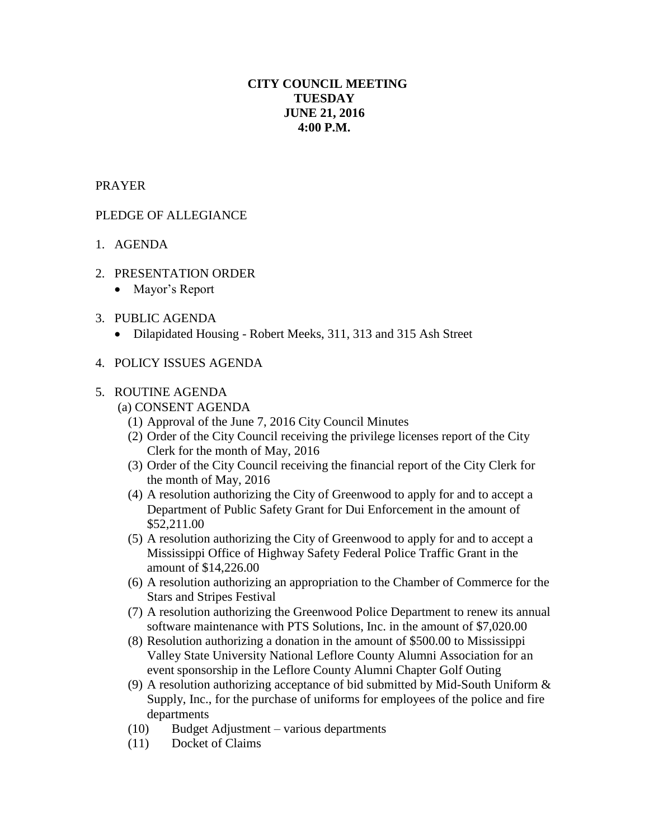# **CITY COUNCIL MEETING TUESDAY JUNE 21, 2016 4:00 P.M.**

# PRAYER

# PLEDGE OF ALLEGIANCE

- 1. AGENDA
- 2. PRESENTATION ORDER
	- Mayor's Report
- 3. PUBLIC AGENDA
	- Dilapidated Housing Robert Meeks, 311, 313 and 315 Ash Street
- 4. POLICY ISSUES AGENDA

#### 5. ROUTINE AGENDA

- (a) CONSENT AGENDA
	- (1) Approval of the June 7, 2016 City Council Minutes
	- (2) Order of the City Council receiving the privilege licenses report of the City Clerk for the month of May, 2016
	- (3) Order of the City Council receiving the financial report of the City Clerk for the month of May, 2016
	- (4) A resolution authorizing the City of Greenwood to apply for and to accept a Department of Public Safety Grant for Dui Enforcement in the amount of \$52,211.00
	- (5) A resolution authorizing the City of Greenwood to apply for and to accept a Mississippi Office of Highway Safety Federal Police Traffic Grant in the amount of \$14,226.00
	- (6) A resolution authorizing an appropriation to the Chamber of Commerce for the Stars and Stripes Festival
	- (7) A resolution authorizing the Greenwood Police Department to renew its annual software maintenance with PTS Solutions, Inc. in the amount of \$7,020.00
	- (8) Resolution authorizing a donation in the amount of \$500.00 to Mississippi Valley State University National Leflore County Alumni Association for an event sponsorship in the Leflore County Alumni Chapter Golf Outing
	- (9) A resolution authorizing acceptance of bid submitted by Mid-South Uniform & Supply, Inc., for the purchase of uniforms for employees of the police and fire departments
	- (10) Budget Adjustment various departments
	- (11) Docket of Claims